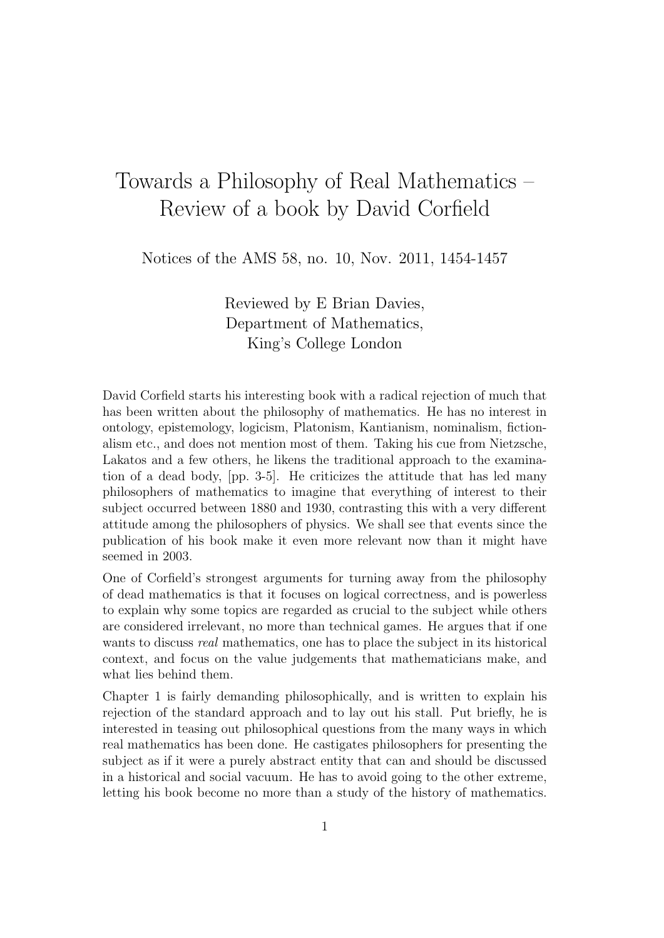## Towards a Philosophy of Real Mathematics – Review of a book by David Corfield

Notices of the AMS 58, no. 10, Nov. 2011, 1454-1457

Reviewed by E Brian Davies, Department of Mathematics, King's College London

David Corfield starts his interesting book with a radical rejection of much that has been written about the philosophy of mathematics. He has no interest in ontology, epistemology, logicism, Platonism, Kantianism, nominalism, fictionalism etc., and does not mention most of them. Taking his cue from Nietzsche, Lakatos and a few others, he likens the traditional approach to the examination of a dead body, [pp. 3-5]. He criticizes the attitude that has led many philosophers of mathematics to imagine that everything of interest to their subject occurred between 1880 and 1930, contrasting this with a very different attitude among the philosophers of physics. We shall see that events since the publication of his book make it even more relevant now than it might have seemed in 2003.

One of Corfield's strongest arguments for turning away from the philosophy of dead mathematics is that it focuses on logical correctness, and is powerless to explain why some topics are regarded as crucial to the subject while others are considered irrelevant, no more than technical games. He argues that if one wants to discuss real mathematics, one has to place the subject in its historical context, and focus on the value judgements that mathematicians make, and what lies behind them.

Chapter 1 is fairly demanding philosophically, and is written to explain his rejection of the standard approach and to lay out his stall. Put briefly, he is interested in teasing out philosophical questions from the many ways in which real mathematics has been done. He castigates philosophers for presenting the subject as if it were a purely abstract entity that can and should be discussed in a historical and social vacuum. He has to avoid going to the other extreme, letting his book become no more than a study of the history of mathematics.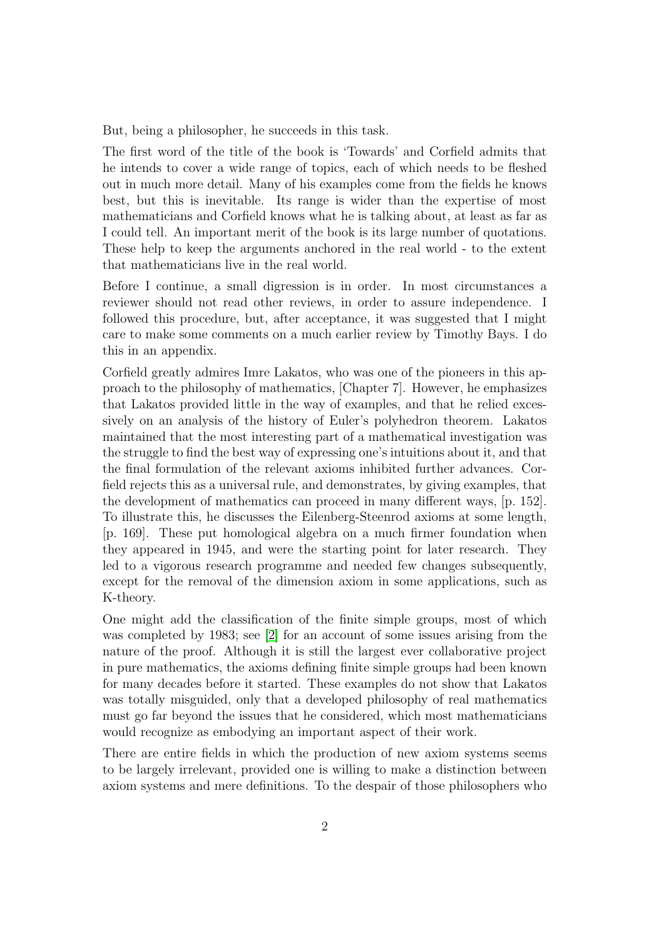But, being a philosopher, he succeeds in this task.

The first word of the title of the book is 'Towards' and Corfield admits that he intends to cover a wide range of topics, each of which needs to be fleshed out in much more detail. Many of his examples come from the fields he knows best, but this is inevitable. Its range is wider than the expertise of most mathematicians and Corfield knows what he is talking about, at least as far as I could tell. An important merit of the book is its large number of quotations. These help to keep the arguments anchored in the real world - to the extent that mathematicians live in the real world.

Before I continue, a small digression is in order. In most circumstances a reviewer should not read other reviews, in order to assure independence. I followed this procedure, but, after acceptance, it was suggested that I might care to make some comments on a much earlier review by Timothy Bays. I do this in an appendix.

Corfield greatly admires Imre Lakatos, who was one of the pioneers in this approach to the philosophy of mathematics, [Chapter 7]. However, he emphasizes that Lakatos provided little in the way of examples, and that he relied excessively on an analysis of the history of Euler's polyhedron theorem. Lakatos maintained that the most interesting part of a mathematical investigation was the struggle to find the best way of expressing one's intuitions about it, and that the final formulation of the relevant axioms inhibited further advances. Corfield rejects this as a universal rule, and demonstrates, by giving examples, that the development of mathematics can proceed in many different ways, [p. 152]. To illustrate this, he discusses the Eilenberg-Steenrod axioms at some length, [p. 169]. These put homological algebra on a much firmer foundation when they appeared in 1945, and were the starting point for later research. They led to a vigorous research programme and needed few changes subsequently, except for the removal of the dimension axiom in some applications, such as K-theory.

One might add the classification of the finite simple groups, most of which was completed by 1983; see [\[2\]](#page-6-0) for an account of some issues arising from the nature of the proof. Although it is still the largest ever collaborative project in pure mathematics, the axioms defining finite simple groups had been known for many decades before it started. These examples do not show that Lakatos was totally misguided, only that a developed philosophy of real mathematics must go far beyond the issues that he considered, which most mathematicians would recognize as embodying an important aspect of their work.

There are entire fields in which the production of new axiom systems seems to be largely irrelevant, provided one is willing to make a distinction between axiom systems and mere definitions. To the despair of those philosophers who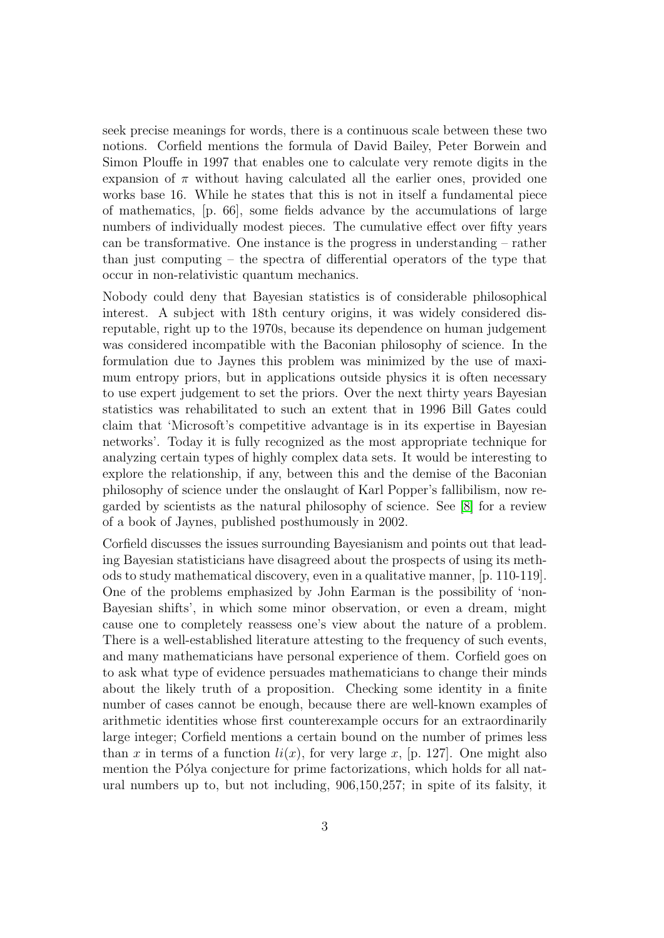seek precise meanings for words, there is a continuous scale between these two notions. Corfield mentions the formula of David Bailey, Peter Borwein and Simon Plouffe in 1997 that enables one to calculate very remote digits in the expansion of  $\pi$  without having calculated all the earlier ones, provided one works base 16. While he states that this is not in itself a fundamental piece of mathematics, [p. 66], some fields advance by the accumulations of large numbers of individually modest pieces. The cumulative effect over fifty years can be transformative. One instance is the progress in understanding – rather than just computing – the spectra of differential operators of the type that occur in non-relativistic quantum mechanics.

Nobody could deny that Bayesian statistics is of considerable philosophical interest. A subject with 18th century origins, it was widely considered disreputable, right up to the 1970s, because its dependence on human judgement was considered incompatible with the Baconian philosophy of science. In the formulation due to Jaynes this problem was minimized by the use of maximum entropy priors, but in applications outside physics it is often necessary to use expert judgement to set the priors. Over the next thirty years Bayesian statistics was rehabilitated to such an extent that in 1996 Bill Gates could claim that 'Microsoft's competitive advantage is in its expertise in Bayesian networks'. Today it is fully recognized as the most appropriate technique for analyzing certain types of highly complex data sets. It would be interesting to explore the relationship, if any, between this and the demise of the Baconian philosophy of science under the onslaught of Karl Popper's fallibilism, now regarded by scientists as the natural philosophy of science. See [\[8\]](#page-7-0) for a review of a book of Jaynes, published posthumously in 2002.

Corfield discusses the issues surrounding Bayesianism and points out that leading Bayesian statisticians have disagreed about the prospects of using its methods to study mathematical discovery, even in a qualitative manner, [p. 110-119]. One of the problems emphasized by John Earman is the possibility of 'non-Bayesian shifts', in which some minor observation, or even a dream, might cause one to completely reassess one's view about the nature of a problem. There is a well-established literature attesting to the frequency of such events, and many mathematicians have personal experience of them. Corfield goes on to ask what type of evidence persuades mathematicians to change their minds about the likely truth of a proposition. Checking some identity in a finite number of cases cannot be enough, because there are well-known examples of arithmetic identities whose first counterexample occurs for an extraordinarily large integer; Corfield mentions a certain bound on the number of primes less than x in terms of a function  $li(x)$ , for very large x, [p. 127]. One might also mention the Pólya conjecture for prime factorizations, which holds for all natural numbers up to, but not including, 906,150,257; in spite of its falsity, it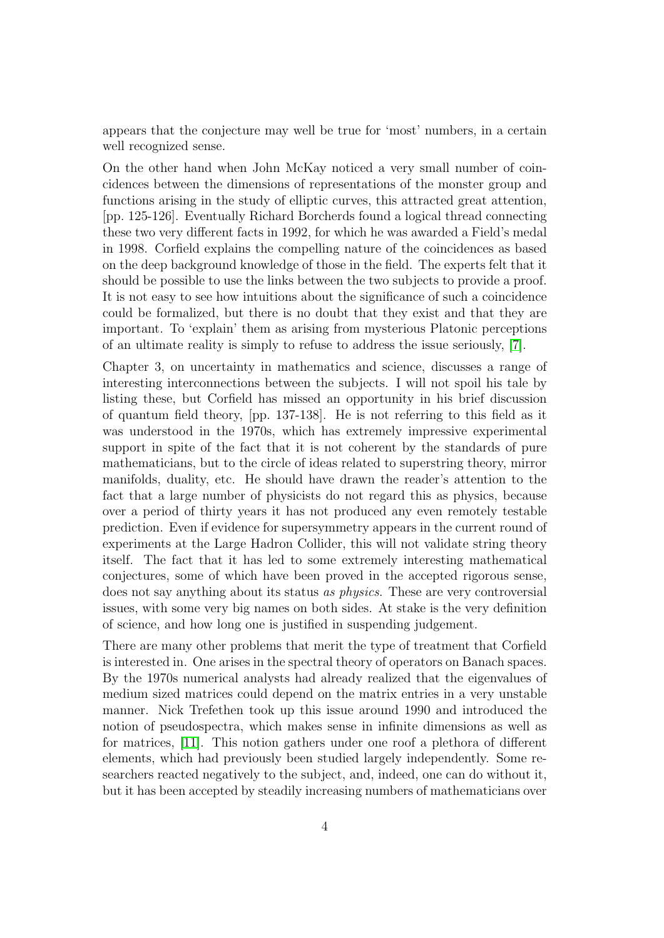appears that the conjecture may well be true for 'most' numbers, in a certain well recognized sense.

On the other hand when John McKay noticed a very small number of coincidences between the dimensions of representations of the monster group and functions arising in the study of elliptic curves, this attracted great attention, [pp. 125-126]. Eventually Richard Borcherds found a logical thread connecting these two very different facts in 1992, for which he was awarded a Field's medal in 1998. Corfield explains the compelling nature of the coincidences as based on the deep background knowledge of those in the field. The experts felt that it should be possible to use the links between the two subjects to provide a proof. It is not easy to see how intuitions about the significance of such a coincidence could be formalized, but there is no doubt that they exist and that they are important. To 'explain' them as arising from mysterious Platonic perceptions of an ultimate reality is simply to refuse to address the issue seriously, [\[7\]](#page-7-1).

Chapter 3, on uncertainty in mathematics and science, discusses a range of interesting interconnections between the subjects. I will not spoil his tale by listing these, but Corfield has missed an opportunity in his brief discussion of quantum field theory, [pp. 137-138]. He is not referring to this field as it was understood in the 1970s, which has extremely impressive experimental support in spite of the fact that it is not coherent by the standards of pure mathematicians, but to the circle of ideas related to superstring theory, mirror manifolds, duality, etc. He should have drawn the reader's attention to the fact that a large number of physicists do not regard this as physics, because over a period of thirty years it has not produced any even remotely testable prediction. Even if evidence for supersymmetry appears in the current round of experiments at the Large Hadron Collider, this will not validate string theory itself. The fact that it has led to some extremely interesting mathematical conjectures, some of which have been proved in the accepted rigorous sense, does not say anything about its status as physics. These are very controversial issues, with some very big names on both sides. At stake is the very definition of science, and how long one is justified in suspending judgement.

There are many other problems that merit the type of treatment that Corfield is interested in. One arises in the spectral theory of operators on Banach spaces. By the 1970s numerical analysts had already realized that the eigenvalues of medium sized matrices could depend on the matrix entries in a very unstable manner. Nick Trefethen took up this issue around 1990 and introduced the notion of pseudospectra, which makes sense in infinite dimensions as well as for matrices, [\[11\]](#page-7-2). This notion gathers under one roof a plethora of different elements, which had previously been studied largely independently. Some researchers reacted negatively to the subject, and, indeed, one can do without it, but it has been accepted by steadily increasing numbers of mathematicians over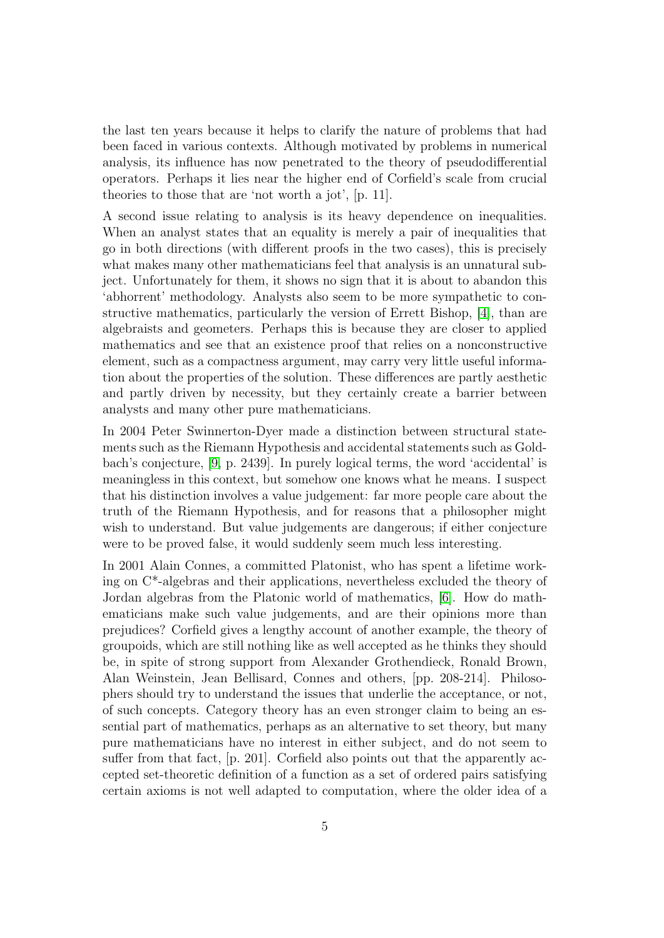the last ten years because it helps to clarify the nature of problems that had been faced in various contexts. Although motivated by problems in numerical analysis, its influence has now penetrated to the theory of pseudodifferential operators. Perhaps it lies near the higher end of Corfield's scale from crucial theories to those that are 'not worth a jot', [p. 11].

A second issue relating to analysis is its heavy dependence on inequalities. When an analyst states that an equality is merely a pair of inequalities that go in both directions (with different proofs in the two cases), this is precisely what makes many other mathematicians feel that analysis is an unnatural subject. Unfortunately for them, it shows no sign that it is about to abandon this 'abhorrent' methodology. Analysts also seem to be more sympathetic to constructive mathematics, particularly the version of Errett Bishop, [\[4\]](#page-7-3), than are algebraists and geometers. Perhaps this is because they are closer to applied mathematics and see that an existence proof that relies on a nonconstructive element, such as a compactness argument, may carry very little useful information about the properties of the solution. These differences are partly aesthetic and partly driven by necessity, but they certainly create a barrier between analysts and many other pure mathematicians.

In 2004 Peter Swinnerton-Dyer made a distinction between structural statements such as the Riemann Hypothesis and accidental statements such as Goldbach's conjecture, [\[9,](#page-7-4) p. 2439]. In purely logical terms, the word 'accidental' is meaningless in this context, but somehow one knows what he means. I suspect that his distinction involves a value judgement: far more people care about the truth of the Riemann Hypothesis, and for reasons that a philosopher might wish to understand. But value judgements are dangerous; if either conjecture were to be proved false, it would suddenly seem much less interesting.

In 2001 Alain Connes, a committed Platonist, who has spent a lifetime working on C\*-algebras and their applications, nevertheless excluded the theory of Jordan algebras from the Platonic world of mathematics, [\[6\]](#page-7-5). How do mathematicians make such value judgements, and are their opinions more than prejudices? Corfield gives a lengthy account of another example, the theory of groupoids, which are still nothing like as well accepted as he thinks they should be, in spite of strong support from Alexander Grothendieck, Ronald Brown, Alan Weinstein, Jean Bellisard, Connes and others, [pp. 208-214]. Philosophers should try to understand the issues that underlie the acceptance, or not, of such concepts. Category theory has an even stronger claim to being an essential part of mathematics, perhaps as an alternative to set theory, but many pure mathematicians have no interest in either subject, and do not seem to suffer from that fact, [p. 201]. Corfield also points out that the apparently accepted set-theoretic definition of a function as a set of ordered pairs satisfying certain axioms is not well adapted to computation, where the older idea of a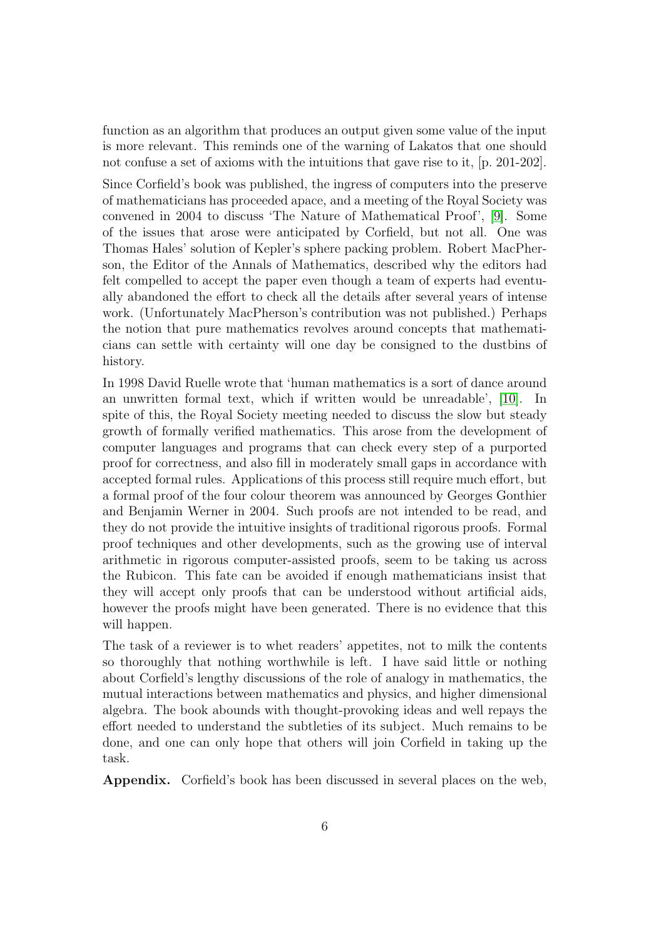function as an algorithm that produces an output given some value of the input is more relevant. This reminds one of the warning of Lakatos that one should not confuse a set of axioms with the intuitions that gave rise to it, [p. 201-202].

Since Corfield's book was published, the ingress of computers into the preserve of mathematicians has proceeded apace, and a meeting of the Royal Society was convened in 2004 to discuss 'The Nature of Mathematical Proof', [\[9\]](#page-7-4). Some of the issues that arose were anticipated by Corfield, but not all. One was Thomas Hales' solution of Kepler's sphere packing problem. Robert MacPherson, the Editor of the Annals of Mathematics, described why the editors had felt compelled to accept the paper even though a team of experts had eventually abandoned the effort to check all the details after several years of intense work. (Unfortunately MacPherson's contribution was not published.) Perhaps the notion that pure mathematics revolves around concepts that mathematicians can settle with certainty will one day be consigned to the dustbins of history.

In 1998 David Ruelle wrote that 'human mathematics is a sort of dance around an unwritten formal text, which if written would be unreadable', [\[10\]](#page-7-6). In spite of this, the Royal Society meeting needed to discuss the slow but steady growth of formally verified mathematics. This arose from the development of computer languages and programs that can check every step of a purported proof for correctness, and also fill in moderately small gaps in accordance with accepted formal rules. Applications of this process still require much effort, but a formal proof of the four colour theorem was announced by Georges Gonthier and Benjamin Werner in 2004. Such proofs are not intended to be read, and they do not provide the intuitive insights of traditional rigorous proofs. Formal proof techniques and other developments, such as the growing use of interval arithmetic in rigorous computer-assisted proofs, seem to be taking us across the Rubicon. This fate can be avoided if enough mathematicians insist that they will accept only proofs that can be understood without artificial aids, however the proofs might have been generated. There is no evidence that this will happen.

The task of a reviewer is to whet readers' appetites, not to milk the contents so thoroughly that nothing worthwhile is left. I have said little or nothing about Corfield's lengthy discussions of the role of analogy in mathematics, the mutual interactions between mathematics and physics, and higher dimensional algebra. The book abounds with thought-provoking ideas and well repays the effort needed to understand the subtleties of its subject. Much remains to be done, and one can only hope that others will join Corfield in taking up the task.

Appendix. Corfield's book has been discussed in several places on the web,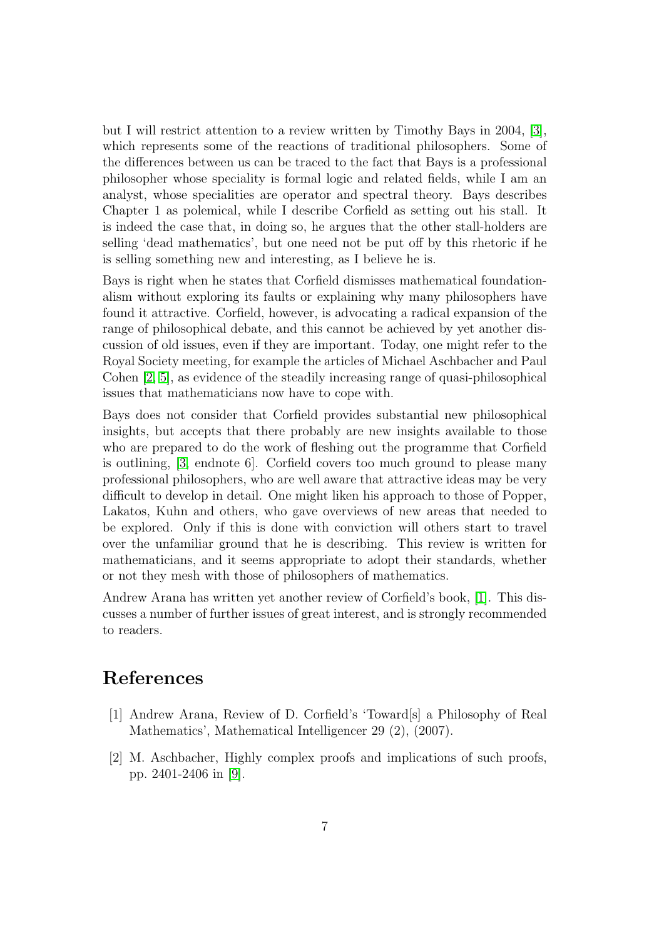but I will restrict attention to a review written by Timothy Bays in 2004, [\[3\]](#page-7-7), which represents some of the reactions of traditional philosophers. Some of the differences between us can be traced to the fact that Bays is a professional philosopher whose speciality is formal logic and related fields, while I am an analyst, whose specialities are operator and spectral theory. Bays describes Chapter 1 as polemical, while I describe Corfield as setting out his stall. It is indeed the case that, in doing so, he argues that the other stall-holders are selling 'dead mathematics', but one need not be put off by this rhetoric if he is selling something new and interesting, as I believe he is.

Bays is right when he states that Corfield dismisses mathematical foundationalism without exploring its faults or explaining why many philosophers have found it attractive. Corfield, however, is advocating a radical expansion of the range of philosophical debate, and this cannot be achieved by yet another discussion of old issues, even if they are important. Today, one might refer to the Royal Society meeting, for example the articles of Michael Aschbacher and Paul Cohen [\[2,](#page-6-0) [5\]](#page-7-8), as evidence of the steadily increasing range of quasi-philosophical issues that mathematicians now have to cope with.

Bays does not consider that Corfield provides substantial new philosophical insights, but accepts that there probably are new insights available to those who are prepared to do the work of fleshing out the programme that Corfield is outlining, [\[3,](#page-7-7) endnote 6]. Corfield covers too much ground to please many professional philosophers, who are well aware that attractive ideas may be very difficult to develop in detail. One might liken his approach to those of Popper, Lakatos, Kuhn and others, who gave overviews of new areas that needed to be explored. Only if this is done with conviction will others start to travel over the unfamiliar ground that he is describing. This review is written for mathematicians, and it seems appropriate to adopt their standards, whether or not they mesh with those of philosophers of mathematics.

Andrew Arana has written yet another review of Corfield's book, [\[1\]](#page-6-1). This discusses a number of further issues of great interest, and is strongly recommended to readers.

## References

- <span id="page-6-1"></span>[1] Andrew Arana, Review of D. Corfield's 'Toward[s] a Philosophy of Real Mathematics', Mathematical Intelligencer 29 (2), (2007).
- <span id="page-6-0"></span>[2] M. Aschbacher, Highly complex proofs and implications of such proofs, pp. 2401-2406 in [\[9\]](#page-7-4).